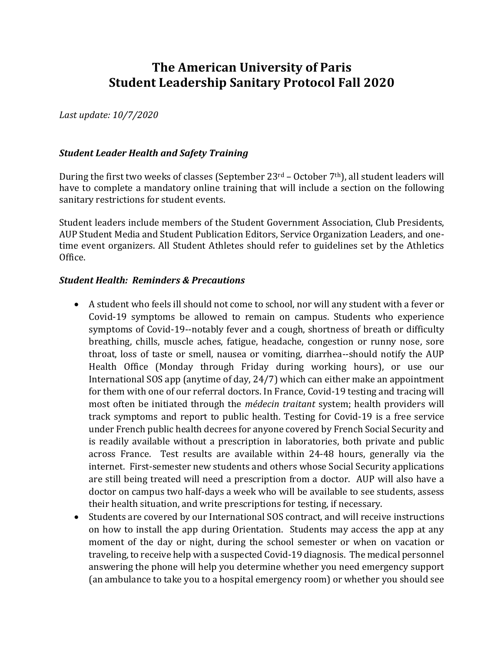# **The American University of Paris Student Leadership Sanitary Protocol Fall 2020**

*Last update: 10/7/2020*

#### *Student Leader Health and Safety Training*

During the first two weeks of classes (September 23rd – October 7th), all student leaders will have to complete a mandatory online training that will include a section on the following sanitary restrictions for student events.

Student leaders include members of the Student Government Association, Club Presidents, AUP Student Media and Student Publication Editors, Service Organization Leaders, and onetime event organizers. All Student Athletes should refer to guidelines set by the Athletics Office.

#### *Student Health: Reminders & Precautions*

- A student who feels ill should not come to school, nor will any student with a fever or Covid-19 symptoms be allowed to remain on campus. Students who experience symptoms of Covid-19--notably fever and a cough, shortness of breath or difficulty breathing, chills, muscle aches, fatigue, headache, congestion or runny nose, sore throat, loss of taste or smell, nausea or vomiting, diarrhea--should notify the AUP Health Office (Monday through Friday during working hours), or use our International SOS app (anytime of day, 24/7) which can either make an appointment for them with one of our referral doctors. In France, Covid-19 testing and tracing will most often be initiated through the *médecin traitant* system; health providers will track symptoms and report to public health. Testing for Covid-19 is a free service under French public health decrees for anyone covered by French Social Security and is readily available without a prescription in laboratories, both private and public across France. Test results are available within 24-48 hours, generally via the internet. First-semester new students and others whose Social Security applications are still being treated will need a prescription from a doctor. AUP will also have a doctor on campus two half-days a week who will be available to see students, assess their health situation, and write prescriptions for testing, if necessary.
- Students are covered by our International SOS contract, and will receive instructions on how to install the app during Orientation. Students may access the app at any moment of the day or night, during the school semester or when on vacation or traveling, to receive help with a suspected Covid-19 diagnosis. The medical personnel answering the phone will help you determine whether you need emergency support (an ambulance to take you to a hospital emergency room) or whether you should see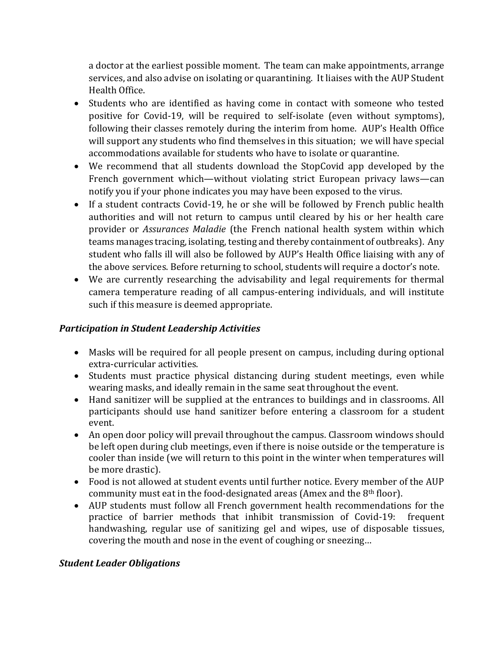a doctor at the earliest possible moment. The team can make appointments, arrange services, and also advise on isolating or quarantining. It liaises with the AUP Student Health Office.

- Students who are identified as having come in contact with someone who tested positive for Covid-19, will be required to self-isolate (even without symptoms), following their classes remotely during the interim from home. AUP's Health Office will support any students who find themselves in this situation; we will have special accommodations available for students who have to isolate or quarantine.
- We recommend that all students download the StopCovid app developed by the French government which—without violating strict European privacy laws—can notify you if your phone indicates you may have been exposed to the virus.
- If a student contracts Covid-19, he or she will be followed by French public health authorities and will not return to campus until cleared by his or her health care provider or *Assurances Maladie* (the French national health system within which teams manages tracing, isolating, testing and thereby containment of outbreaks). Any student who falls ill will also be followed by AUP's Health Office liaising with any of the above services. Before returning to school, students will require a doctor's note.
- We are currently researching the advisability and legal requirements for thermal camera temperature reading of all campus-entering individuals, and will institute such if this measure is deemed appropriate.

#### *Participation in Student Leadership Activities*

- Masks will be required for all people present on campus, including during optional extra-curricular activities.
- Students must practice physical distancing during student meetings, even while wearing masks, and ideally remain in the same seat throughout the event.
- Hand sanitizer will be supplied at the entrances to buildings and in classrooms. All participants should use hand sanitizer before entering a classroom for a student event.
- An open door policy will prevail throughout the campus. Classroom windows should be left open during club meetings, even if there is noise outside or the temperature is cooler than inside (we will return to this point in the winter when temperatures will be more drastic).
- Food is not allowed at student events until further notice. Every member of the AUP community must eat in the food-designated areas (Amex and the 8th floor).
- AUP students must follow all French government health recommendations for the practice of barrier methods that inhibit transmission of Covid-19: frequent handwashing, regular use of sanitizing gel and wipes, use of disposable tissues, covering the mouth and nose in the event of coughing or sneezing…

### *Student Leader Obligations*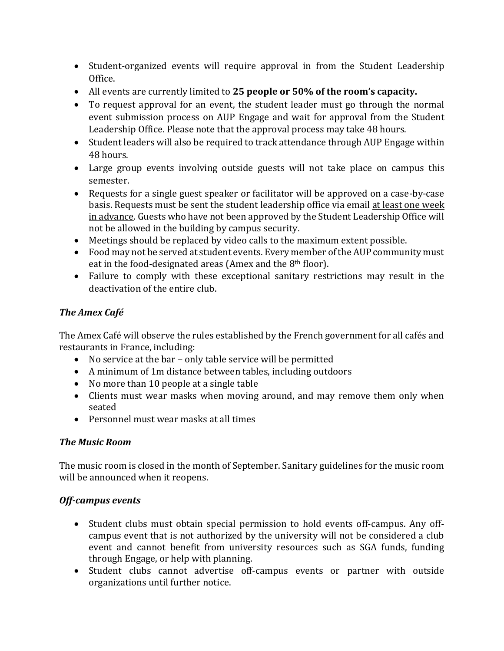- Student-organized events will require approval in from the Student Leadership Office.
- All events are currently limited to **25 people or 50% of the room's capacity.**
- To request approval for an event, the student leader must go through the normal event submission process on AUP Engage and wait for approval from the Student Leadership Office. Please note that the approval process may take 48 hours.
- Student leaders will also be required to track attendance through AUP Engage within 48 hours.
- Large group events involving outside guests will not take place on campus this semester.
- Requests for a single guest speaker or facilitator will be approved on a case-by-case basis. Requests must be sent the student leadership office via email at least one week in advance. Guests who have not been approved by the Student Leadership Office will not be allowed in the building by campus security.
- Meetings should be replaced by video calls to the maximum extent possible.
- Food may not be served at student events. Every member of the AUP community must eat in the food-designated areas (Amex and the 8th floor).
- Failure to comply with these exceptional sanitary restrictions may result in the deactivation of the entire club.

## *The Amex Café*

The Amex Café will observe the rules established by the French government for all cafés and restaurants in France, including:

- No service at the bar only table service will be permitted
- A minimum of 1m distance between tables, including outdoors
- No more than 10 people at a single table
- Clients must wear masks when moving around, and may remove them only when seated
- Personnel must wear masks at all times

### *The Music Room*

The music room is closed in the month of September. Sanitary guidelines for the music room will be announced when it reopens.

### *Off-campus events*

- Student clubs must obtain special permission to hold events off-campus. Any offcampus event that is not authorized by the university will not be considered a club event and cannot benefit from university resources such as SGA funds, funding through Engage, or help with planning.
- Student clubs cannot advertise off-campus events or partner with outside organizations until further notice.